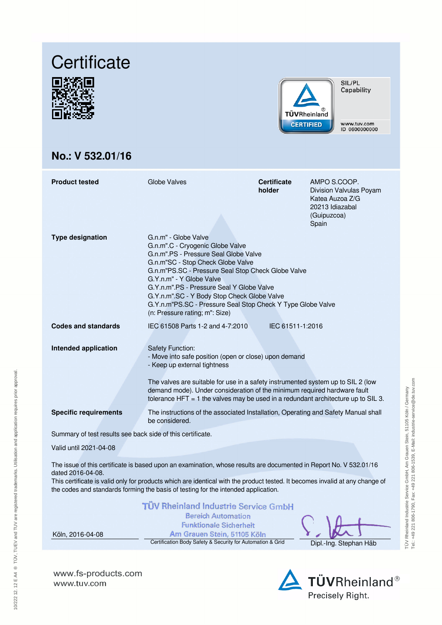





SIL/PL Capability

www.tuv.com<br>ID 0600000000

# **No.: V 532.01/16**

**www.fs-products.com**

www.tuv.com

| <b>Product tested</b>                                                                                                                                                                                                                                                                                                                                         | Globe Valves                                                                                                                                                                                                                                                                                                                                                                                                          | <b>Certificate</b><br>holder | AMPO S.COOP.<br>Division Valvulas Poyam<br>Katea Auzoa Z/G<br>20213 Idiazabal<br>(Guipuzcoa)<br>Spain |  |  |  |
|---------------------------------------------------------------------------------------------------------------------------------------------------------------------------------------------------------------------------------------------------------------------------------------------------------------------------------------------------------------|-----------------------------------------------------------------------------------------------------------------------------------------------------------------------------------------------------------------------------------------------------------------------------------------------------------------------------------------------------------------------------------------------------------------------|------------------------------|-------------------------------------------------------------------------------------------------------|--|--|--|
| <b>Type designation</b>                                                                                                                                                                                                                                                                                                                                       | G.n.m" - Globe Valve<br>G.n.m".C - Cryogenic Globe Valve<br>G.n.m".PS - Pressure Seal Globe Valve<br>G.n.m"SC - Stop Check Globe Valve<br>G.n.m"PS.SC - Pressure Seal Stop Check Globe Valve<br>G.Y.n.m" - Y Globe Valve<br>G.Y.n.m".PS - Pressure Seal Y Globe Valve<br>G.Y.n.m".SC - Y Body Stop Check Globe Valve<br>G.Y.n.m"PS.SC - Pressure Seal Stop Check Y Type Globe Valve<br>(n: Pressure rating; m": Size) |                              |                                                                                                       |  |  |  |
| <b>Codes and standards</b>                                                                                                                                                                                                                                                                                                                                    | IEC 61508 Parts 1-2 and 4-7:2010                                                                                                                                                                                                                                                                                                                                                                                      | IEC 61511-1:2016             |                                                                                                       |  |  |  |
| <b>Intended application</b>                                                                                                                                                                                                                                                                                                                                   | <b>Safety Function:</b><br>- Move into safe position (open or close) upon demand<br>- Keep up external tightness<br>The valves are suitable for use in a safety instrumented system up to SIL 2 (low<br>demand mode). Under consideration of the minimum required hardware fault<br>tolerance HFT $=$ 1 the valves may be used in a redundant architecture up to SIL 3.                                               |                              |                                                                                                       |  |  |  |
| <b>Specific requirements</b>                                                                                                                                                                                                                                                                                                                                  | The instructions of the associated Installation, Operating and Safety Manual shall<br>be considered.                                                                                                                                                                                                                                                                                                                  |                              |                                                                                                       |  |  |  |
| Summary of test results see back side of this certificate.                                                                                                                                                                                                                                                                                                    |                                                                                                                                                                                                                                                                                                                                                                                                                       |                              |                                                                                                       |  |  |  |
| Valid until 2021-04-08                                                                                                                                                                                                                                                                                                                                        |                                                                                                                                                                                                                                                                                                                                                                                                                       |                              |                                                                                                       |  |  |  |
| The issue of this certificate is based upon an examination, whose results are documented in Report No. V 532.01/16<br>dated 2016-04-08.<br>This certificate is valid only for products which are identical with the product tested. It becomes invalid at any change of<br>the codes and standards forming the basis of testing for the intended application. |                                                                                                                                                                                                                                                                                                                                                                                                                       |                              |                                                                                                       |  |  |  |
| Köln, 2016-04-08                                                                                                                                                                                                                                                                                                                                              | TÜV Rheinland Industrie Service GmbH<br><b>Bereich Automation</b><br><b>Funktionale Sicherheit</b><br>Am Grauen Stein, 51105 Köln                                                                                                                                                                                                                                                                                     |                              |                                                                                                       |  |  |  |

Certification Body Safety & Security for Automation & Grid Dipl.-Ing. Stephan Häb

TÜV Rheinland Industrie Service GmbH, Am Grauen Stein, 51105 Köln / Germany Tel.: +49 221 806-1790, Fax: +49 221 806-1539, E-Mail: industrie-service@de.tuv.com

TÜV Rheinland Industrie Service GmbH, Am Grauen Stein, 51105 Köln / Germany<br>Tel: +49 221 806-1790, Fax: +49 221 806-1539, E-Mali: industrie-service@de.tuv.com